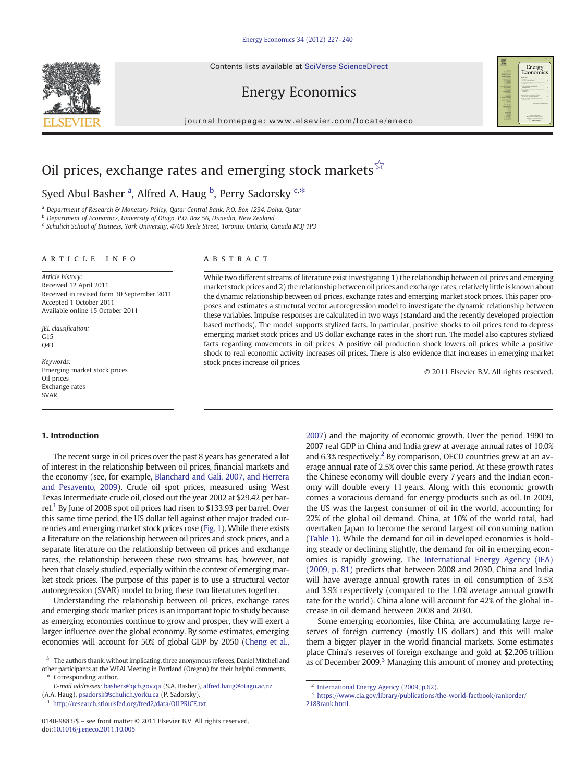Contents lists available at SciVerse ScienceDirect



## Energy Economics

journal homepage: www.elsevier.com/locate/eneco

# Oil prices, exchange rates and emerging stock markets  $\hat{X}$

## Syed Abul Basher <sup>a</sup>, Alfred A. Haug <sup>b</sup>, Perry Sadorsky <sup>c,\*</sup>

<sup>a</sup> Department of Research & Monetary Policy, Qatar Central Bank, P.O. Box 1234, Doha, Qatar

b Department of Economics, University of Otago, P.O. Box 56, Dunedin, New Zealand

<sup>c</sup> Schulich School of Business, York University, 4700 Keele Street, Toronto, Ontario, Canada M3J 1P3

### article info abstract

Article history: Received 12 April 2011 Received in revised form 30 September 2011 Accepted 1 October 2011 Available online 15 October 2011

JEL classification:  $G15$  $043$ 

Keywords: Emerging market stock prices Oil prices Exchange rates SVAR

While two different streams of literature exist investigating 1) the relationship between oil prices and emerging market stock prices and 2) the relationship between oil prices and exchange rates, relatively little is known about the dynamic relationship between oil prices, exchange rates and emerging market stock prices. This paper proposes and estimates a structural vector autoregression model to investigate the dynamic relationship between these variables. Impulse responses are calculated in two ways (standard and the recently developed projection based methods). The model supports stylized facts. In particular, positive shocks to oil prices tend to depress emerging market stock prices and US dollar exchange rates in the short run. The model also captures stylized facts regarding movements in oil prices. A positive oil production shock lowers oil prices while a positive shock to real economic activity increases oil prices. There is also evidence that increases in emerging market stock prices increase oil prices.

© 2011 Elsevier B.V. All rights reserved.

### 1. Introduction

The recent surge in oil prices over the past 8 years has generated a lot of interest in the relationship between oil prices, financial markets and the economy (see, for example, [Blanchard and Gali, 2007, and Herrera](#page--1-0) [and Pesavento, 2009](#page--1-0)). Crude oil spot prices, measured using West Texas Intermediate crude oil, closed out the year 2002 at \$29.42 per barrel.<sup>1</sup> By June of 2008 spot oil prices had risen to \$133.93 per barrel. Over this same time period, the US dollar fell against other major traded currencies and emerging market stock prices rose ([Fig. 1\)](#page-1-0). While there exists a literature on the relationship between oil prices and stock prices, and a separate literature on the relationship between oil prices and exchange rates, the relationship between these two streams has, however, not been that closely studied, especially within the context of emerging market stock prices. The purpose of this paper is to use a structural vector autoregression (SVAR) model to bring these two literatures together.

Understanding the relationship between oil prices, exchange rates and emerging stock market prices is an important topic to study because as emerging economies continue to grow and prosper, they will exert a larger influence over the global economy. By some estimates, emerging economies will account for 50% of global GDP by 2050 ([Cheng et al.,](#page--1-0)

<sup>1</sup> [http://research.stlouisfed.org/fred2/data/OILPRICE.txt.](http://research.stlouisfed.org/fred2/data/OILPRICE.txt)

[2007](#page--1-0)) and the majority of economic growth. Over the period 1990 to 2007 real GDP in China and India grew at average annual rates of 10.0% and 6.3% respectively.<sup>2</sup> By comparison, OECD countries grew at an average annual rate of 2.5% over this same period. At these growth rates the Chinese economy will double every 7 years and the Indian economy will double every 11 years. Along with this economic growth comes a voracious demand for energy products such as oil. In 2009, the US was the largest consumer of oil in the world, accounting for 22% of the global oil demand. China, at 10% of the world total, had overtaken Japan to become the second largest oil consuming nation [\(Table 1](#page--1-0)). While the demand for oil in developed economies is holding steady or declining slightly, the demand for oil in emerging economies is rapidly growing. The [International Energy Agency \(IEA\)](#page--1-0) [\(2009, p. 81\)](#page--1-0) predicts that between 2008 and 2030, China and India will have average annual growth rates in oil consumption of 3.5% and 3.9% respectively (compared to the 1.0% average annual growth rate for the world). China alone will account for 42% of the global increase in oil demand between 2008 and 2030.

Some emerging economies, like China, are accumulating large reserves of foreign currency (mostly US dollars) and this will make them a bigger player in the world financial markets. Some estimates place China's reserves of foreign exchange and gold at \$2.206 trillion as of December 2009. $3$  Managing this amount of money and protecting

<sup>☆</sup> The authors thank, without implicating, three anonymous referees, Daniel Mitchell and other participants at the WEAI Meeting in Portland (Oregon) for their helpful comments.

Corresponding author. E-mail addresses: [bashers@qcb.gov.qa](mailto:bashers@qcb.gov.qa) (S.A. Basher), [alfred.haug@otago.ac.nz](mailto:alfred.haug@otago.ac.nz) (A.A. Haug), [psadorsk@schulich.yorku.ca](mailto:psadorsk@schulich.yorku.ca) (P. Sadorsky).

<sup>0140-9883/\$</sup> – see front matter © 2011 Elsevier B.V. All rights reserved. doi:[10.1016/j.eneco.2011.10.005](http://dx.doi.org/10.1016/j.eneco.2011.10.005)

[International Energy Agency \(2009, p.62\)](#page--1-0).

 $^3\,$ [https://www.cia.gov/library/publications/the-world-factbook/rankorder/](https://www.cia.gov/library/publications/the-world-factbook/rankorder/2188rank.html) 2188rank.html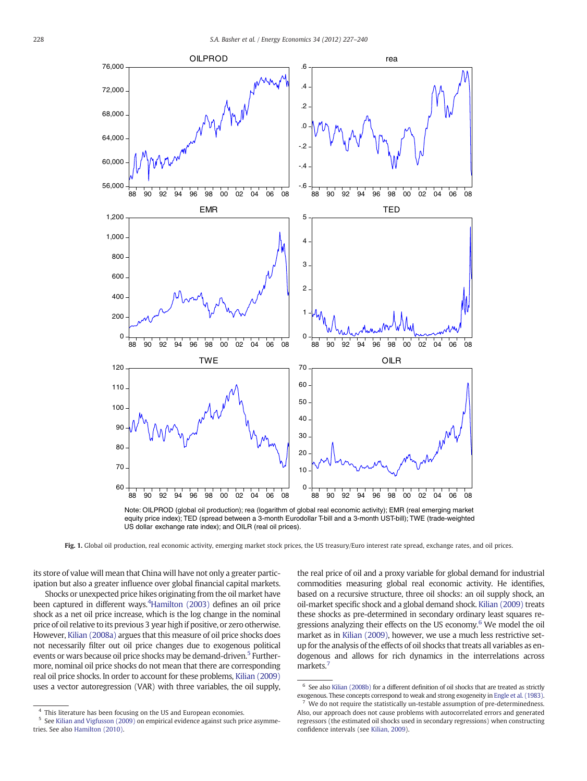<span id="page-1-0"></span>

equity price index); TED (spread between a 3-month Eurodollar T-bill and a 3-month UST-bill); TWE (trade-weighted US dollar exchange rate index); and OILR (real oil prices).

Fig. 1. Global oil production, real economic activity, emerging market stock prices, the US treasury/Euro interest rate spread, exchange rates, and oil prices.

its store of value will mean that China will have not only a greater participation but also a greater influence over global financial capital markets.

Shocks or unexpected price hikes originating from the oil market have been captured in different ways.<sup>4</sup>[Hamilton \(2003\)](#page--1-0) defines an oil price shock as a net oil price increase, which is the log change in the nominal price of oil relative to its previous 3 year high if positive, or zero otherwise. However, [Kilian \(2008a\)](#page--1-0) argues that this measure of oil price shocks does not necessarily filter out oil price changes due to exogenous political events or wars because oil price shocks may be demand-driven.<sup>5</sup> Furthermore, nominal oil price shocks do not mean that there are corresponding real oil price shocks. In order to account for these problems, [Kilian \(2009\)](#page--1-0) uses a vector autoregression (VAR) with three variables, the oil supply, the real price of oil and a proxy variable for global demand for industrial commodities measuring global real economic activity. He identifies, based on a recursive structure, three oil shocks: an oil supply shock, an oil-market specific shock and a global demand shock. [Kilian \(2009\)](#page--1-0) treats these shocks as pre-determined in secondary ordinary least squares regressions analyzing their effects on the US economy.<sup>6</sup> We model the oil market as in [Kilian \(2009\),](#page--1-0) however, we use a much less restrictive setup for the analysis of the effects of oil shocks that treats all variables as endogenous and allows for rich dynamics in the interrelations across markets.<sup>7</sup>

<sup>&</sup>lt;sup>4</sup> This literature has been focusing on the US and European economies.

<sup>5</sup> See [Kilian and Vigfusson \(2009\)](#page--1-0) on empirical evidence against such price asymmetries. See also [Hamilton \(2010\).](#page--1-0)

 $6$  See also [Kilian \(2008b\)](#page--1-0) for a different definition of oil shocks that are treated as strictly exogenous. These concepts correspond to weak and strong exogeneity in [Engle et al. \(1983\)](#page--1-0).

We do not require the statistically un-testable assumption of pre-determinedness. Also, our approach does not cause problems with autocorrelated errors and generated regressors (the estimated oil shocks used in secondary regressions) when constructing confidence intervals (see [Kilian, 2009](#page--1-0)).